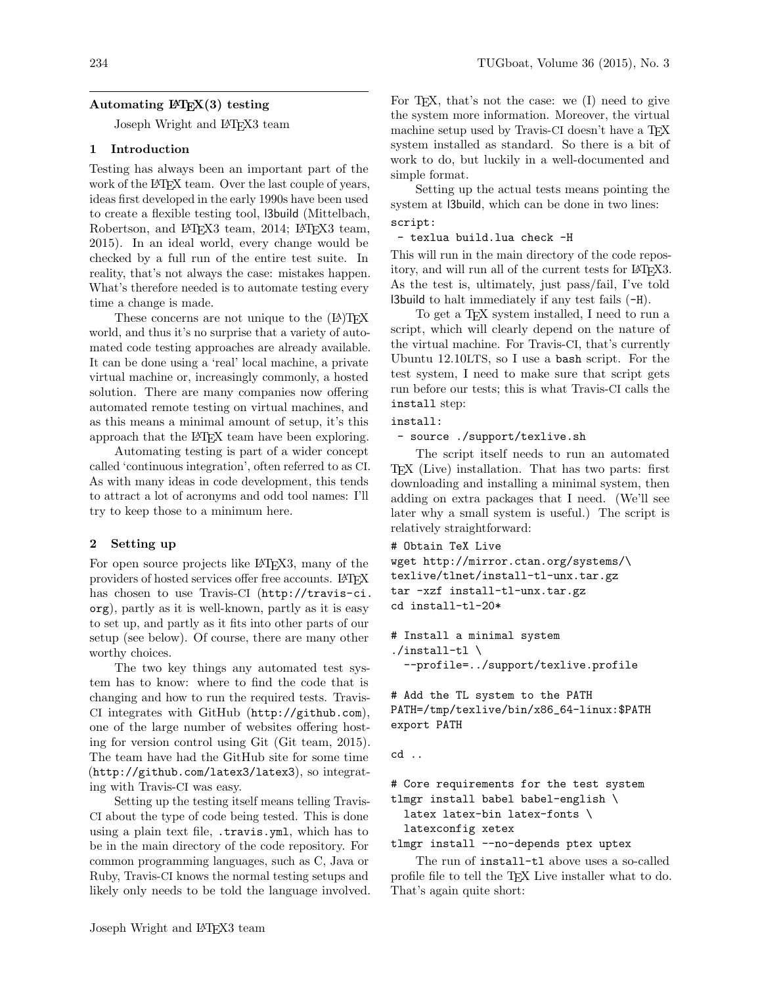# Automating  $\text{MTFX}(3)$  testing

Joseph Wright and L<sup>AT</sup>FX3 team

## 1 Introduction

Testing has always been an important part of the work of the LAT<sub>F</sub>X team. Over the last couple of years, ideas first developed in the early 1990s have been used to create a flexible testing tool, l3build [\(Mittelbach,](#page-2-0) Robertson, and L<sup>AT</sup>FX3 team, 2014; L<sup>AT</sup>FX3 team, [2015\)](#page-2-1). In an ideal world, every change would be checked by a full run of the entire test suite. In reality, that's not always the case: mistakes happen. What's therefore needed is to automate testing every time a change is made.

These concerns are not unique to the  $(L)$ T<sub>F</sub>X world, and thus it's no surprise that a variety of automated code testing approaches are already available. It can be done using a 'real' local machine, a private virtual machine or, increasingly commonly, a hosted solution. There are many companies now offering automated remote testing on virtual machines, and as this means a minimal amount of setup, it's this approach that the LAT<sub>EX</sub> team have been exploring.

Automating testing is part of a wider concept called 'continuous integration', often referred to as CI. As with many ideas in code development, this tends to attract a lot of acronyms and odd tool names: I'll try to keep those to a minimum here.

## 2 Setting up

For open source projects like LAT<sub>F</sub>X3, many of the providers of hosted services offer free accounts. LATEX has chosen to use Travis-CI ([http://travis-ci.](http://travis-ci.org) [org](http://travis-ci.org)), partly as it is well-known, partly as it is easy to set up, and partly as it fits into other parts of our setup (see below). Of course, there are many other worthy choices.

The two key things any automated test system has to know: where to find the code that is changing and how to run the required tests. Travis-CI integrates with GitHub (<http://github.com>), one of the large number of websites offering hosting for version control using Git [\(Git team, 2015\)](#page-2-2). The team have had the GitHub site for some time (<http://github.com/latex3/latex3>), so integrating with Travis-CI was easy.

Setting up the testing itself means telling Travis-CI about the type of code being tested. This is done using a plain text file, .travis.yml, which has to be in the main directory of the code repository. For common programming languages, such as C, Java or Ruby, Travis-CI knows the normal testing setups and likely only needs to be told the language involved. For T<sub>E</sub>X, that's not the case: we  $(I)$  need to give the system more information. Moreover, the virtual machine setup used by Travis-CI doesn't have a TEX system installed as standard. So there is a bit of work to do, but luckily in a well-documented and simple format.

Setting up the actual tests means pointing the system at l3build, which can be done in two lines: script:

- texlua build.lua check -H

This will run in the main directory of the code repository, and will run all of the current tests for LAT<sub>EX3</sub>. As the test is, ultimately, just pass/fail, I've told l3build to halt immediately if any test fails (-H).

To get a TEX system installed, I need to run a script, which will clearly depend on the nature of the virtual machine. For Travis-CI, that's currently Ubuntu 12.10LTS, so I use a bash script. For the test system, I need to make sure that script gets run before our tests; this is what Travis-CI calls the install step:

#### install:

- source ./support/texlive.sh

The script itself needs to run an automated TEX (Live) installation. That has two parts: first downloading and installing a minimal system, then adding on extra packages that I need. (We'll see later why a small system is useful.) The script is relatively straightforward:

```
# Obtain TeX Live
```

```
wget http://mirror.ctan.org/systems/\
texlive/tlnet/install-tl-unx.tar.gz
tar -xzf install-tl-unx.tar.gz
cd install-tl-20*
```

```
# Install a minimal system
./install-t1 \ \backslash--profile=../support/texlive.profile
```

```
# Add the TL system to the PATH
PATH=/tmp/texlive/bin/x86_64-linux:$PATH
export PATH
```
cd ..

```
# Core requirements for the test system
tlmgr install babel babel-english \
  latex latex-bin latex-fonts \
  latexconfig xetex
```
tlmgr install --no-depends ptex uptex

The run of install-tl above uses a so-called profile file to tell the TEX Live installer what to do. That's again quite short: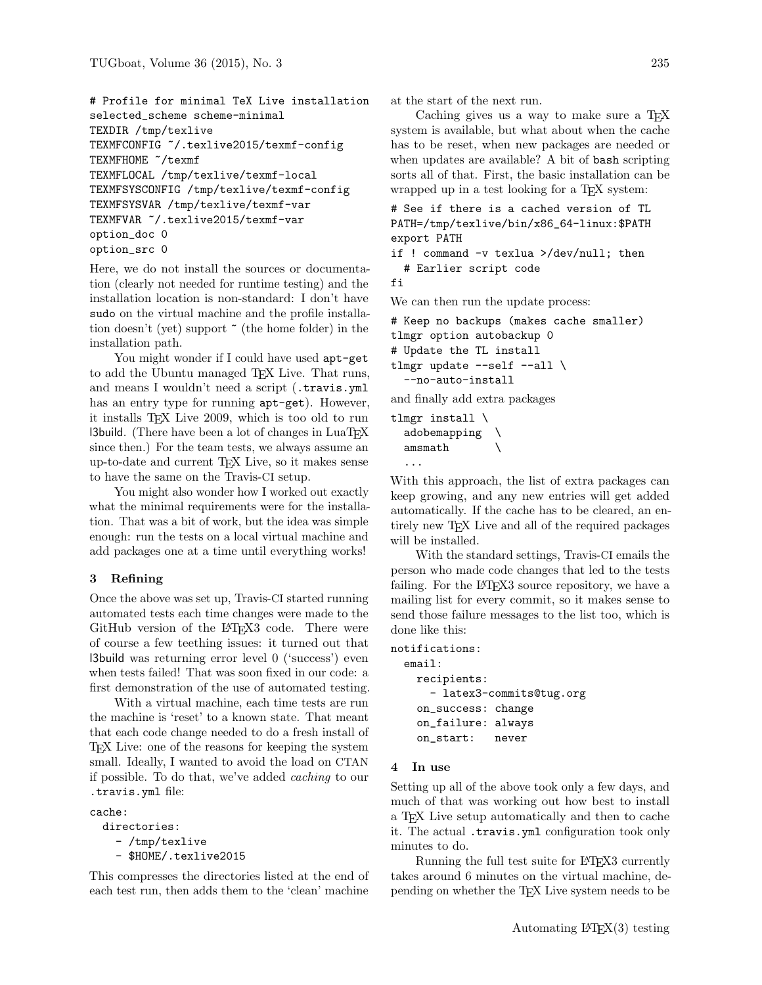```
# Profile for minimal TeX Live installation
selected scheme scheme-minimal
TEXDIR /tmp/texlive
TEXMFCONFIG ~/.texlive2015/texmf-config
TEXMFHOME ~/texmf
TEXMFLOCAL /tmp/texlive/texmf-local
TEXMFSYSCONFIG /tmp/texlive/texmf-config
TEXMFSYSVAR /tmp/texlive/texmf-var
TEXMFVAR ~/.texlive2015/texmf-var
option_doc 0
option_src 0
```
Here, we do not install the sources or documentation (clearly not needed for runtime testing) and the installation location is non-standard: I don't have sudo on the virtual machine and the profile installation doesn't (yet) support ~ (the home folder) in the installation path.

You might wonder if I could have used  $apt-get$ to add the Ubuntu managed TEX Live. That runs, and means I wouldn't need a script (.travis.yml has an entry type for running apt-get). However, it installs TEX Live 2009, which is too old to run **l3build.** (There have been a lot of changes in  $\text{LuaTrX}$ since then.) For the team tests, we always assume an up-to-date and current TEX Live, so it makes sense to have the same on the Travis-CI setup.

You might also wonder how I worked out exactly what the minimal requirements were for the installation. That was a bit of work, but the idea was simple enough: run the tests on a local virtual machine and add packages one at a time until everything works!

### 3 Refining

Once the above was set up, Travis-CI started running automated tests each time changes were made to the GitHub version of the L<sup>AT</sup>EX3 code. There were of course a few teething issues: it turned out that l3build was returning error level 0 ('success') even when tests failed! That was soon fixed in our code: a first demonstration of the use of automated testing.

With a virtual machine, each time tests are run the machine is 'reset' to a known state. That meant that each code change needed to do a fresh install of TEX Live: one of the reasons for keeping the system small. Ideally, I wanted to avoid the load on CTAN if possible. To do that, we've added caching to our .travis.yml file:

cache:

```
directories:
  - /tmp/texlive
  - $HOME/.texlive2015
```
This compresses the directories listed at the end of each test run, then adds them to the 'clean' machine

at the start of the next run.

Caching gives us a way to make sure a T<sub>E</sub>X system is available, but what about when the cache has to be reset, when new packages are needed or when updates are available? A bit of bash scripting sorts all of that. First, the basic installation can be wrapped up in a test looking for a T<sub>EX</sub> system:

```
# See if there is a cached version of TL
PATH=/tmp/texlive/bin/x86_64-linux:$PATH
export PATH
```
if ! command -v texlua >/dev/null; then # Earlier script code

```
fi
```
We can then run the update process:

```
# Keep no backups (makes cache smaller)
tlmgr option autobackup 0
# Update the TL install
tlmgr update --self --all \setminus--no-auto-install
```
and finally add extra packages

tlmgr install \ adobemapping \ amsmath \ ...

With this approach, the list of extra packages can keep growing, and any new entries will get added automatically. If the cache has to be cleared, an entirely new TFX Live and all of the required packages will be installed.

With the standard settings, Travis-CI emails the person who made code changes that led to the tests failing. For the L<sup>AT</sup>EX3 source repository, we have a mailing list for every commit, so it makes sense to send those failure messages to the list too, which is done like this:

```
notifications:
```

```
email:
  recipients:
    - latex3-commits@tug.org
  on_success: change
  on_failure: always
  on_start: never
```
## 4 In use

Setting up all of the above took only a few days, and much of that was working out how best to install a TEX Live setup automatically and then to cache it. The actual .travis.yml configuration took only minutes to do.

Running the full test suite for LATEX3 currently takes around 6 minutes on the virtual machine, depending on whether the TEX Live system needs to be